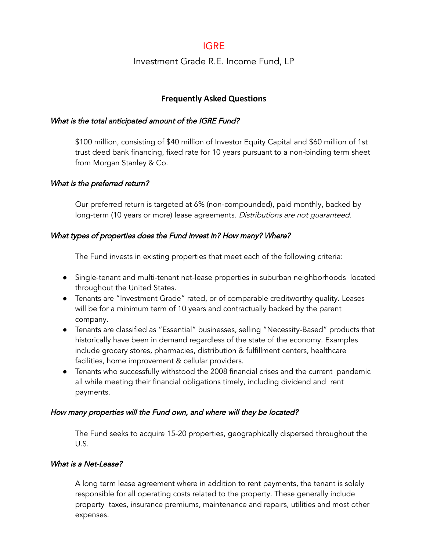# IGRE

## Investment Grade R.E. Income Fund, LP

## **Frequently Asked Questions**

#### What is the total anticipated amount of the IGRE Fund?

\$100 million, consisting of \$40 million of Investor Equity Capital and \$60 million of 1st trust deed bank financing, fixed rate for 10 years pursuant to a non-binding term sheet from Morgan Stanley & Co.

## What is the preferred return?

Our preferred return is targeted at 6% (non-compounded), paid monthly, backed by long-term (10 years or more) lease agreements. Distributions are not guaranteed.

## What types of properties does the Fund invest in? How many? Where?

The Fund invests in existing properties that meet each of the following criteria:

- Single-tenant and multi-tenant net-lease properties in suburban neighborhoods located throughout the United States.
- Tenants are "Investment Grade" rated, or of comparable creditworthy quality. Leases will be for a minimum term of 10 years and contractually backed by the parent company.
- Tenants are classified as "Essential" businesses, selling "Necessity-Based" products that historically have been in demand regardless of the state of the economy. Examples include grocery stores, pharmacies, distribution & fulfillment centers, healthcare facilities, home improvement & cellular providers.
- Tenants who successfully withstood the 2008 financial crises and the current pandemic all while meeting their financial obligations timely, including dividend and rent payments.

## How many properties will the Fund own, and where will they be located?

The Fund seeks to acquire 15-20 properties, geographically dispersed throughout the U.S.

#### What is <sup>a</sup> Net-Lease?

A long term lease agreement where in addition to rent payments, the tenant is solely responsible for all operating costs related to the property. These generally include property taxes, insurance premiums, maintenance and repairs, utilities and most other expenses.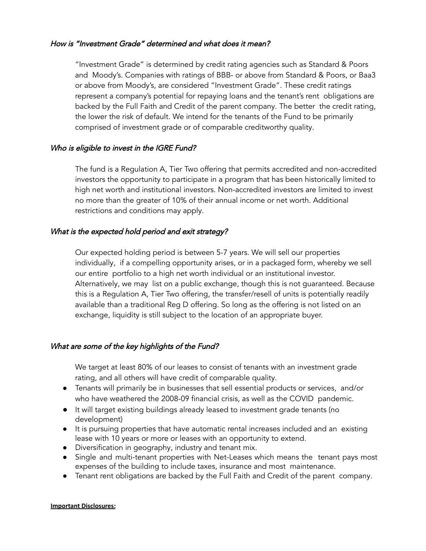#### How is "Investment Grade" determined and what does it mean?

"Investment Grade" is determined by credit rating agencies such as Standard & Poors and Moody's. Companies with ratings of BBB- or above from Standard & Poors, or Baa3 or above from Moody's, are considered "Investment Grade". These credit ratings represent a company's potential for repaying loans and the tenant's rent obligations are backed by the Full Faith and Credit of the parent company. The better the credit rating, the lower the risk of default. We intend for the tenants of the Fund to be primarily comprised of investment grade or of comparable creditworthy quality.

#### Who is eligible to invest in the IGRE Fund?

The fund is a Regulation A, Tier Two offering that permits accredited and non-accredited investors the opportunity to participate in a program that has been historically limited to high net worth and institutional investors. Non-accredited investors are limited to invest no more than the greater of 10% of their annual income or net worth. Additional restrictions and conditions may apply.

#### What is the expected hold period and exit strategy?

Our expected holding period is between 5-7 years. We will sell our properties individually, if a compelling opportunity arises, or in a packaged form, whereby we sell our entire portfolio to a high net worth individual or an institutional investor. Alternatively, we may list on a public exchange, though this is not guaranteed. Because this is a Regulation A, Tier Two offering, the transfer/resell of units is potentially readily available than a traditional Reg D offering. So long as the offering is not listed on an exchange, liquidity is still subject to the location of an appropriate buyer.

## What are some of the key highlights of the Fund?

We target at least 80% of our leases to consist of tenants with an investment grade rating, and all others will have credit of comparable quality.

- Tenants will primarily be in businesses that sell essential products or services, and/or who have weathered the 2008-09 financial crisis, as well as the COVID pandemic.
- It will target existing buildings already leased to investment grade tenants (no development)
- It is pursuing properties that have automatic rental increases included and an existing lease with 10 years or more or leases with an opportunity to extend.
- Diversification in geography, industry and tenant mix.
- Single and multi-tenant properties with Net-Leases which means the tenant pays most expenses of the building to include taxes, insurance and most maintenance.
- Tenant rent obligations are backed by the Full Faith and Credit of the parent company.

#### **Important Disclosures:**